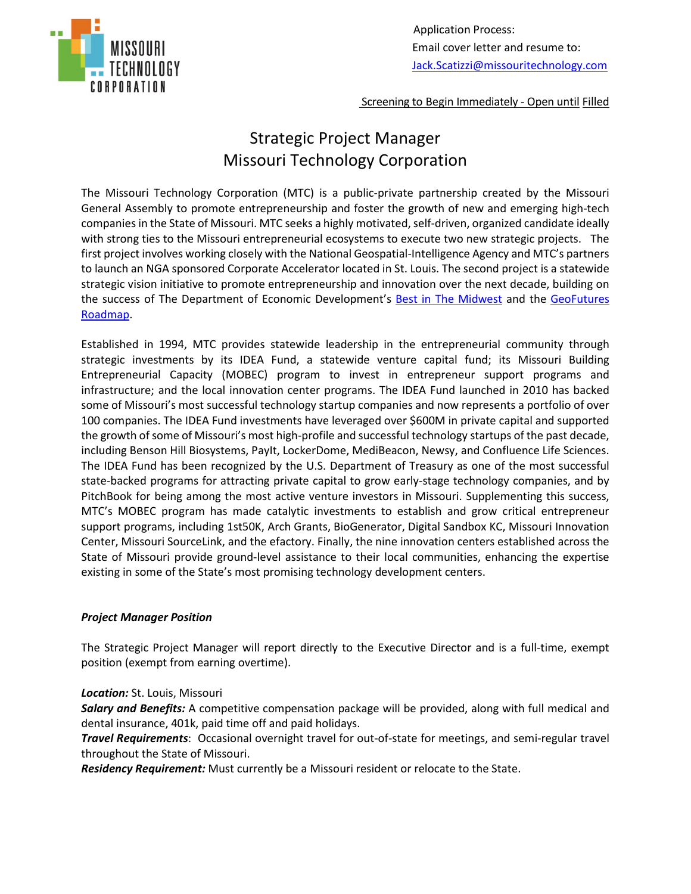

 Application Process: Email cover letter and resume to: [Jack.Scatizzi@missouritechnology.com](about:blank)

Screening to Begin Immediately - Open until Filled

# Strategic Project Manager Missouri Technology Corporation

The Missouri Technology Corporation (MTC) is a public-private partnership created by the Missouri General Assembly to promote entrepreneurship and foster the growth of new and emerging high-tech companies in the State of Missouri. MTC seeks a highly motivated, self-driven, organized candidate ideally with strong ties to the Missouri entrepreneurial ecosystems to execute two new strategic projects. The first project involves working closely with the National Geospatial-Intelligence Agency and MTC's partners to launch an NGA sponsored Corporate Accelerator located in St. Louis. The second project is a statewide strategic vision initiative to promote entrepreneurship and innovation over the next decade, building on the success of The Department of Economic Development's [Best in The Midwest](https://www.bestinmidwest.com/) and the [GeoFutures](https://alliancestl.com/work-smarter-in-stl/key-industries/geospatial/)  [Roadmap.](https://alliancestl.com/work-smarter-in-stl/key-industries/geospatial/)

Established in 1994, MTC provides statewide leadership in the entrepreneurial community through strategic investments by its IDEA Fund, a statewide venture capital fund; its Missouri Building Entrepreneurial Capacity (MOBEC) program to invest in entrepreneur support programs and infrastructure; and the local innovation center programs. The IDEA Fund launched in 2010 has backed some of Missouri's most successful technology startup companies and now represents a portfolio of over 100 companies. The IDEA Fund investments have leveraged over \$600M in private capital and supported the growth of some of Missouri's most high-profile and successful technology startups of the past decade, including Benson Hill Biosystems, PayIt, LockerDome, MediBeacon, Newsy, and Confluence Life Sciences. The IDEA Fund has been recognized by the U.S. Department of Treasury as one of the most successful state-backed programs for attracting private capital to grow early-stage technology companies, and by PitchBook for being among the most active venture investors in Missouri. Supplementing this success, MTC's MOBEC program has made catalytic investments to establish and grow critical entrepreneur support programs, including 1st50K, Arch Grants, BioGenerator, Digital Sandbox KC, Missouri Innovation Center, Missouri SourceLink, and the efactory. Finally, the nine innovation centers established across the State of Missouri provide ground-level assistance to their local communities, enhancing the expertise existing in some of the State's most promising technology development centers.

## *Project Manager Position*

The Strategic Project Manager will report directly to the Executive Director and is a full-time, exempt position (exempt from earning overtime).

#### *Location:* St. Louis, Missouri

*Salary and Benefits:* A competitive compensation package will be provided, along with full medical and dental insurance, 401k, paid time off and paid holidays.

*Travel Requirements*: Occasional overnight travel for out-of-state for meetings, and semi-regular travel throughout the State of Missouri.

*Residency Requirement:* Must currently be a Missouri resident or relocate to the State.